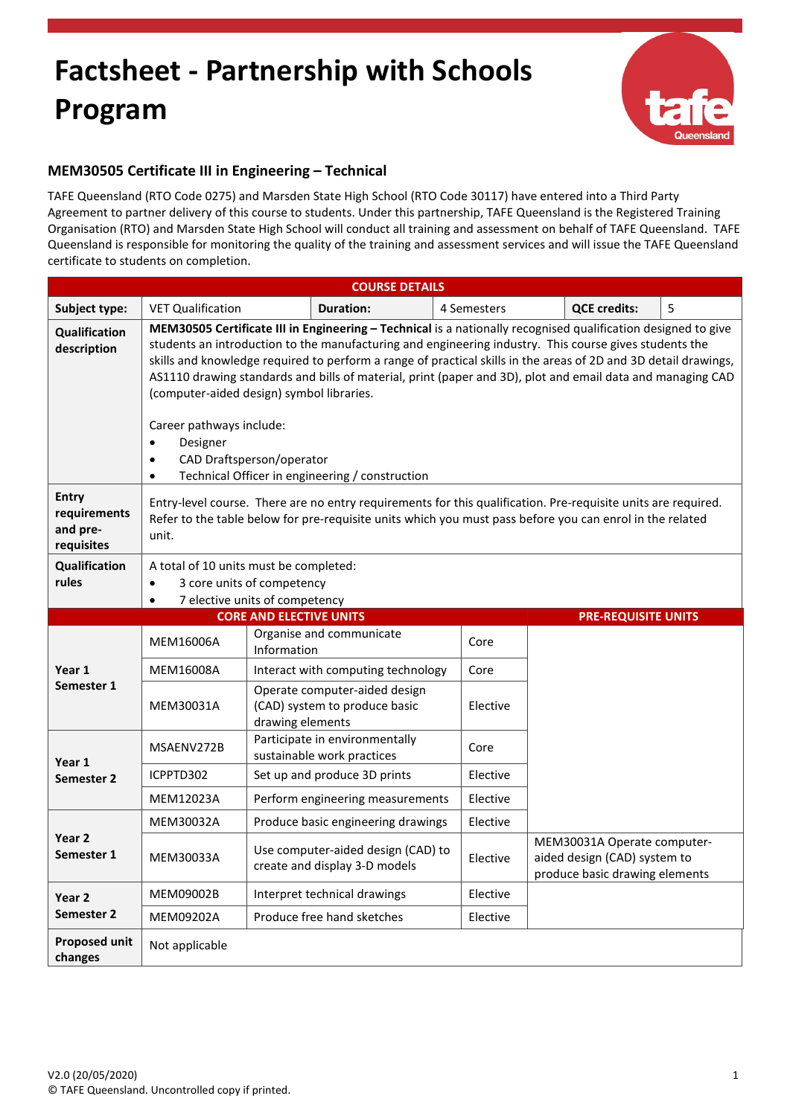## **Factsheet - Partnership with Schools Program**



## **MEM30505 Certificate III in Engineering – Technical**

TAFE Queensland (RTO Code 0275) and Marsden State High School (RTO Code 30117) have entered into a Third Party Agreement to partner delivery of this course to students. Under this partnership, TAFE Queensland is the Registered Training Organisation (RTO) and Marsden State High School will conduct all training and assessment on behalf of TAFE Queensland. TAFE Queensland is responsible for monitoring the quality of the training and assessment services and will issue the TAFE Queensland certificate to students on completion.

| <b>COURSE DETAILS</b>                                  |                                                                                                                                                                                                                                                                                                                                                                                                                                                                                                                                                                                                                                                         |                                                                     |                                                                |             |                                                                                               |                            |   |  |
|--------------------------------------------------------|---------------------------------------------------------------------------------------------------------------------------------------------------------------------------------------------------------------------------------------------------------------------------------------------------------------------------------------------------------------------------------------------------------------------------------------------------------------------------------------------------------------------------------------------------------------------------------------------------------------------------------------------------------|---------------------------------------------------------------------|----------------------------------------------------------------|-------------|-----------------------------------------------------------------------------------------------|----------------------------|---|--|
| Subject type:                                          | <b>VET Qualification</b>                                                                                                                                                                                                                                                                                                                                                                                                                                                                                                                                                                                                                                |                                                                     | <b>Duration:</b>                                               | 4 Semesters |                                                                                               | <b>QCE credits:</b>        | 5 |  |
| Qualification<br>description                           | MEM30505 Certificate III in Engineering - Technical is a nationally recognised qualification designed to give<br>students an introduction to the manufacturing and engineering industry. This course gives students the<br>skills and knowledge required to perform a range of practical skills in the areas of 2D and 3D detail drawings,<br>AS1110 drawing standards and bills of material, print (paper and 3D), plot and email data and managing CAD<br>(computer-aided design) symbol libraries.<br>Career pathways include:<br>Designer<br>$\bullet$<br>CAD Draftsperson/operator<br>Technical Officer in engineering / construction<br>$\bullet$ |                                                                     |                                                                |             |                                                                                               |                            |   |  |
| <b>Entry</b><br>requirements<br>and pre-<br>requisites | Entry-level course. There are no entry requirements for this qualification. Pre-requisite units are required.<br>Refer to the table below for pre-requisite units which you must pass before you can enrol in the related<br>unit.                                                                                                                                                                                                                                                                                                                                                                                                                      |                                                                     |                                                                |             |                                                                                               |                            |   |  |
| Qualification<br>rules                                 | A total of 10 units must be completed:<br>3 core units of competency<br>$\bullet$<br>7 elective units of competency                                                                                                                                                                                                                                                                                                                                                                                                                                                                                                                                     |                                                                     |                                                                |             |                                                                                               |                            |   |  |
|                                                        |                                                                                                                                                                                                                                                                                                                                                                                                                                                                                                                                                                                                                                                         | <b>CORE AND ELECTIVE UNITS</b>                                      |                                                                |             |                                                                                               | <b>PRE-REQUISITE UNITS</b> |   |  |
| Year 1<br>Semester 1                                   | MEM16006A                                                                                                                                                                                                                                                                                                                                                                                                                                                                                                                                                                                                                                               | Information                                                         | Organise and communicate                                       | Core        |                                                                                               |                            |   |  |
|                                                        | MEM16008A                                                                                                                                                                                                                                                                                                                                                                                                                                                                                                                                                                                                                                               |                                                                     | Interact with computing technology                             | Core        |                                                                                               |                            |   |  |
|                                                        | MEM30031A                                                                                                                                                                                                                                                                                                                                                                                                                                                                                                                                                                                                                                               | drawing elements                                                    | Operate computer-aided design<br>(CAD) system to produce basic | Elective    |                                                                                               |                            |   |  |
| Year 1<br>Semester 2                                   | MSAENV272B                                                                                                                                                                                                                                                                                                                                                                                                                                                                                                                                                                                                                                              |                                                                     | Participate in environmentally<br>sustainable work practices   | Core        |                                                                                               |                            |   |  |
|                                                        | ICPPTD302                                                                                                                                                                                                                                                                                                                                                                                                                                                                                                                                                                                                                                               |                                                                     | Set up and produce 3D prints                                   | Elective    |                                                                                               |                            |   |  |
|                                                        | MEM12023A                                                                                                                                                                                                                                                                                                                                                                                                                                                                                                                                                                                                                                               |                                                                     | Perform engineering measurements                               | Elective    |                                                                                               |                            |   |  |
| Year <sub>2</sub><br>Semester 1                        | MEM30032A                                                                                                                                                                                                                                                                                                                                                                                                                                                                                                                                                                                                                                               |                                                                     | Produce basic engineering drawings                             | Elective    |                                                                                               |                            |   |  |
|                                                        | MEM30033A                                                                                                                                                                                                                                                                                                                                                                                                                                                                                                                                                                                                                                               | Use computer-aided design (CAD) to<br>create and display 3-D models |                                                                | Elective    | MEM30031A Operate computer-<br>aided design (CAD) system to<br>produce basic drawing elements |                            |   |  |
| Year 2<br>Semester 2                                   | MEM09002B                                                                                                                                                                                                                                                                                                                                                                                                                                                                                                                                                                                                                                               |                                                                     | Interpret technical drawings                                   | Elective    |                                                                                               |                            |   |  |
|                                                        | MEM09202A                                                                                                                                                                                                                                                                                                                                                                                                                                                                                                                                                                                                                                               |                                                                     | Produce free hand sketches                                     | Elective    |                                                                                               |                            |   |  |
| <b>Proposed unit</b><br>changes                        | Not applicable                                                                                                                                                                                                                                                                                                                                                                                                                                                                                                                                                                                                                                          |                                                                     |                                                                |             |                                                                                               |                            |   |  |